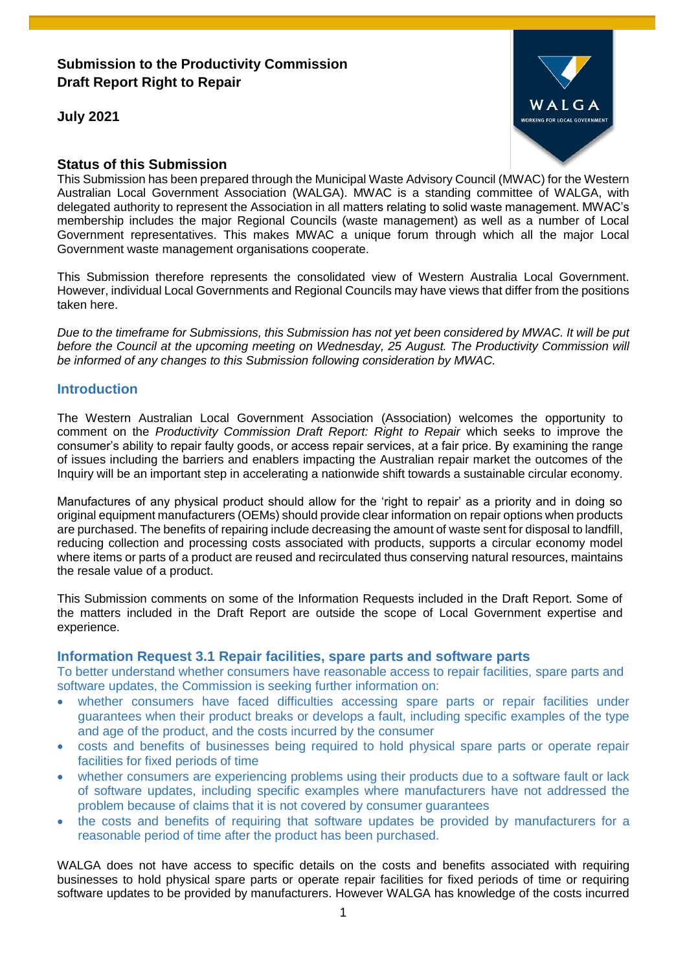# **Submission to the Productivity Commission Draft Report Right to Repair**

**July 2021**



## **Status of this Submission**

This Submission has been prepared through the Municipal Waste Advisory Council (MWAC) for the Western Australian Local Government Association (WALGA). MWAC is a standing committee of WALGA, with delegated authority to represent the Association in all matters relating to solid waste management. MWAC's membership includes the major Regional Councils (waste management) as well as a number of Local Government representatives. This makes MWAC a unique forum through which all the major Local Government waste management organisations cooperate.

This Submission therefore represents the consolidated view of Western Australia Local Government. However, individual Local Governments and Regional Councils may have views that differ from the positions taken here.

*Due to the timeframe for Submissions, this Submission has not yet been considered by MWAC. It will be put before the Council at the upcoming meeting on Wednesday, 25 August. The Productivity Commission will be informed of any changes to this Submission following consideration by MWAC.*

## **Introduction**

The Western Australian Local Government Association (Association) welcomes the opportunity to comment on the *Productivity Commission Draft Report: Right to Repair* which seeks to improve the consumer's ability to repair faulty goods, or access repair services, at a fair price. By examining the range of issues including the barriers and enablers impacting the Australian repair market the outcomes of the Inquiry will be an important step in accelerating a nationwide shift towards a sustainable circular economy.

Manufactures of any physical product should allow for the 'right to repair' as a priority and in doing so original equipment manufacturers (OEMs) should provide clear information on repair options when products are purchased. The benefits of repairing include decreasing the amount of waste sent for disposal to landfill, reducing collection and processing costs associated with products, supports a circular economy model where items or parts of a product are reused and recirculated thus conserving natural resources, maintains the resale value of a product.

This Submission comments on some of the Information Requests included in the Draft Report. Some of the matters included in the Draft Report are outside the scope of Local Government expertise and experience.

## **Information Request 3.1 Repair facilities, spare parts and software parts**

To better understand whether consumers have reasonable access to repair facilities, spare parts and software updates, the Commission is seeking further information on:

- whether consumers have faced difficulties accessing spare parts or repair facilities under guarantees when their product breaks or develops a fault, including specific examples of the type and age of the product, and the costs incurred by the consumer
- costs and benefits of businesses being required to hold physical spare parts or operate repair facilities for fixed periods of time
- whether consumers are experiencing problems using their products due to a software fault or lack of software updates, including specific examples where manufacturers have not addressed the problem because of claims that it is not covered by consumer guarantees
- the costs and benefits of requiring that software updates be provided by manufacturers for a reasonable period of time after the product has been purchased.

WALGA does not have access to specific details on the costs and benefits associated with requiring businesses to hold physical spare parts or operate repair facilities for fixed periods of time or requiring software updates to be provided by manufacturers. However WALGA has knowledge of the costs incurred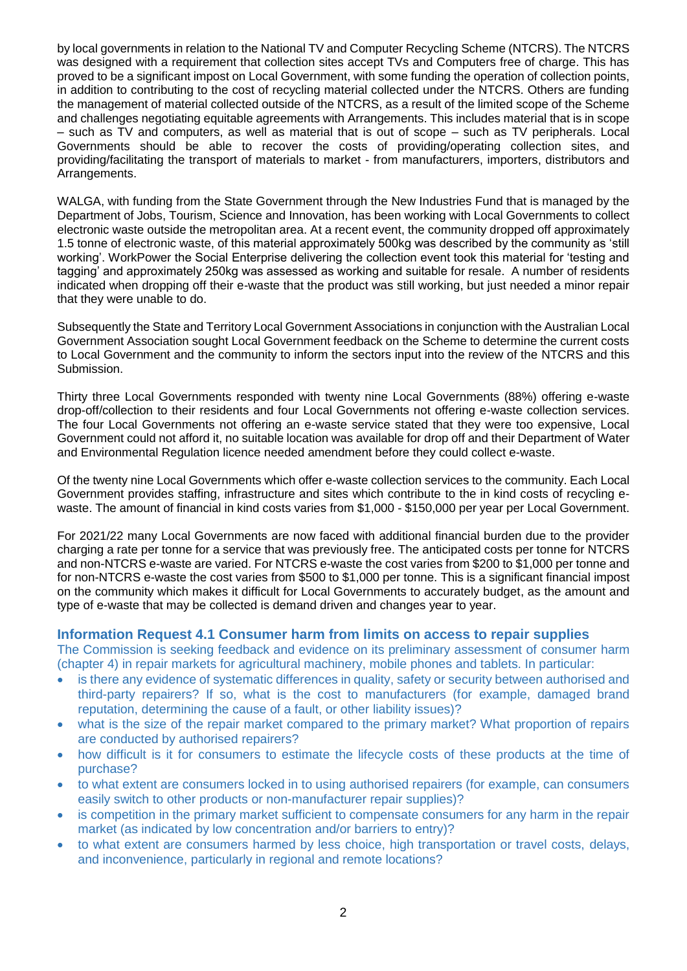by local governments in relation to the National TV and Computer Recycling Scheme (NTCRS). The NTCRS was designed with a requirement that collection sites accept TVs and Computers free of charge. This has proved to be a significant impost on Local Government, with some funding the operation of collection points, in addition to contributing to the cost of recycling material collected under the NTCRS. Others are funding the management of material collected outside of the NTCRS, as a result of the limited scope of the Scheme and challenges negotiating equitable agreements with Arrangements. This includes material that is in scope – such as TV and computers, as well as material that is out of scope – such as TV peripherals. Local Governments should be able to recover the costs of providing/operating collection sites, and providing/facilitating the transport of materials to market - from manufacturers, importers, distributors and Arrangements.

WALGA, with funding from the State Government through the New Industries Fund that is managed by the Department of Jobs, Tourism, Science and Innovation, has been working with Local Governments to collect electronic waste outside the metropolitan area. At a recent event, the community dropped off approximately 1.5 tonne of electronic waste, of this material approximately 500kg was described by the community as 'still working'. WorkPower the Social Enterprise delivering the collection event took this material for 'testing and tagging' and approximately 250kg was assessed as working and suitable for resale. A number of residents indicated when dropping off their e-waste that the product was still working, but just needed a minor repair that they were unable to do.

Subsequently the State and Territory Local Government Associations in conjunction with the Australian Local Government Association sought Local Government feedback on the Scheme to determine the current costs to Local Government and the community to inform the sectors input into the review of the NTCRS and this Submission.

Thirty three Local Governments responded with twenty nine Local Governments (88%) offering e-waste drop-off/collection to their residents and four Local Governments not offering e-waste collection services. The four Local Governments not offering an e-waste service stated that they were too expensive, Local Government could not afford it, no suitable location was available for drop off and their Department of Water and Environmental Regulation licence needed amendment before they could collect e-waste.

Of the twenty nine Local Governments which offer e-waste collection services to the community. Each Local Government provides staffing, infrastructure and sites which contribute to the in kind costs of recycling ewaste. The amount of financial in kind costs varies from \$1,000 - \$150,000 per year per Local Government.

For 2021/22 many Local Governments are now faced with additional financial burden due to the provider charging a rate per tonne for a service that was previously free. The anticipated costs per tonne for NTCRS and non-NTCRS e-waste are varied. For NTCRS e-waste the cost varies from \$200 to \$1,000 per tonne and for non-NTCRS e-waste the cost varies from \$500 to \$1,000 per tonne. This is a significant financial impost on the community which makes it difficult for Local Governments to accurately budget, as the amount and type of e-waste that may be collected is demand driven and changes year to year.

## **Information Request 4.1 Consumer harm from limits on access to repair supplies**

The Commission is seeking feedback and evidence on its preliminary assessment of consumer harm (chapter 4) in repair markets for agricultural machinery, mobile phones and tablets. In particular:

- is there any evidence of systematic differences in quality, safety or security between authorised and third-party repairers? If so, what is the cost to manufacturers (for example, damaged brand reputation, determining the cause of a fault, or other liability issues)?
- what is the size of the repair market compared to the primary market? What proportion of repairs are conducted by authorised repairers?
- how difficult is it for consumers to estimate the lifecycle costs of these products at the time of purchase?
- to what extent are consumers locked in to using authorised repairers (for example, can consumers easily switch to other products or non-manufacturer repair supplies)?
- is competition in the primary market sufficient to compensate consumers for any harm in the repair market (as indicated by low concentration and/or barriers to entry)?
- to what extent are consumers harmed by less choice, high transportation or travel costs, delays, and inconvenience, particularly in regional and remote locations?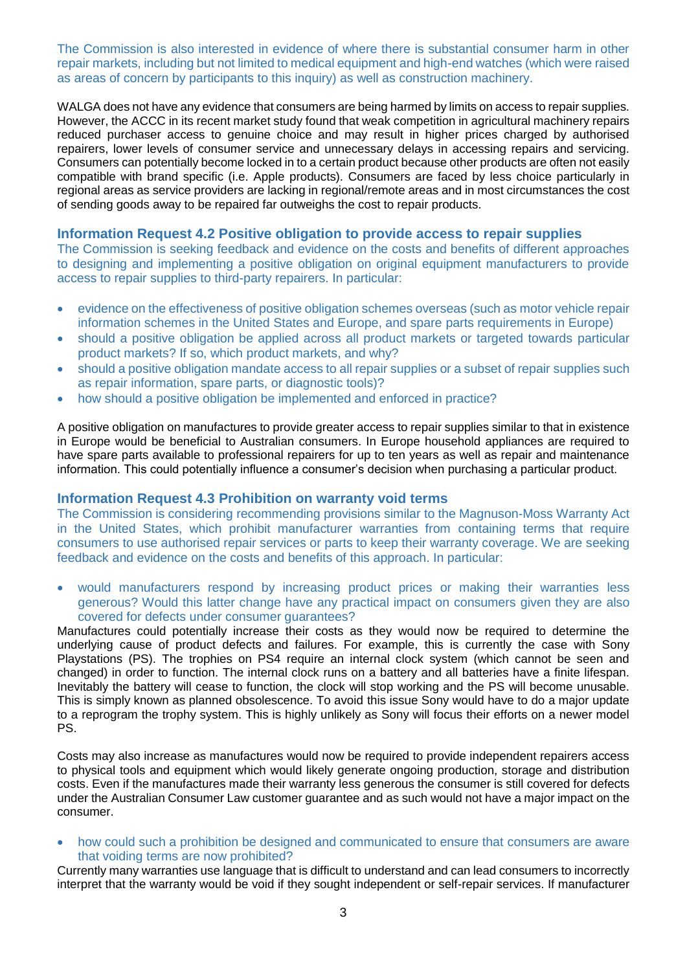The Commission is also interested in evidence of where there is substantial consumer harm in other repair markets, including but not limited to medical equipment and high-end watches (which were raised as areas of concern by participants to this inquiry) as well as construction machinery.

WALGA does not have any evidence that consumers are being harmed by limits on access to repair supplies. However, the ACCC in its recent market study found that weak competition in agricultural machinery repairs reduced purchaser access to genuine choice and may result in higher prices charged by authorised repairers, lower levels of consumer service and unnecessary delays in accessing repairs and servicing. Consumers can potentially become locked in to a certain product because other products are often not easily compatible with brand specific (i.e. Apple products). Consumers are faced by less choice particularly in regional areas as service providers are lacking in regional/remote areas and in most circumstances the cost of sending goods away to be repaired far outweighs the cost to repair products.

### **Information Request 4.2 Positive obligation to provide access to repair supplies**

The Commission is seeking feedback and evidence on the costs and benefits of different approaches to designing and implementing a positive obligation on original equipment manufacturers to provide access to repair supplies to third-party repairers. In particular:

- evidence on the effectiveness of positive obligation schemes overseas (such as motor vehicle repair information schemes in the United States and Europe, and spare parts requirements in Europe)
- should a positive obligation be applied across all product markets or targeted towards particular product markets? If so, which product markets, and why?
- should a positive obligation mandate access to all repair supplies or a subset of repair supplies such as repair information, spare parts, or diagnostic tools)?
- how should a positive obligation be implemented and enforced in practice?

A positive obligation on manufactures to provide greater access to repair supplies similar to that in existence in Europe would be beneficial to Australian consumers. In Europe household appliances are required to have spare parts available to professional repairers for up to ten years as well as repair and maintenance information. This could potentially influence a consumer's decision when purchasing a particular product.

#### **Information Request 4.3 Prohibition on warranty void terms**

The Commission is considering recommending provisions similar to the Magnuson-Moss Warranty Act in the United States, which prohibit manufacturer warranties from containing terms that require consumers to use authorised repair services or parts to keep their warranty coverage. We are seeking feedback and evidence on the costs and benefits of this approach. In particular:

 would manufacturers respond by increasing product prices or making their warranties less generous? Would this latter change have any practical impact on consumers given they are also covered for defects under consumer guarantees?

Manufactures could potentially increase their costs as they would now be required to determine the underlying cause of product defects and failures. For example, this is currently the case with Sony Playstations (PS). The trophies on PS4 require an internal clock system (which cannot be seen and changed) in order to function. The internal clock runs on a battery and all batteries have a finite lifespan. Inevitably the battery will cease to function, the clock will stop working and the PS will become unusable. This is simply known as planned obsolescence. To avoid this issue Sony would have to do a major update to a reprogram the trophy system. This is highly unlikely as Sony will focus their efforts on a newer model PS.

Costs may also increase as manufactures would now be required to provide independent repairers access to physical tools and equipment which would likely generate ongoing production, storage and distribution costs. Even if the manufactures made their warranty less generous the consumer is still covered for defects under the Australian Consumer Law customer guarantee and as such would not have a major impact on the consumer.

• how could such a prohibition be designed and communicated to ensure that consumers are aware that voiding terms are now prohibited?

Currently many warranties use language that is difficult to understand and can lead consumers to incorrectly interpret that the warranty would be void if they sought independent or self-repair services. If manufacturer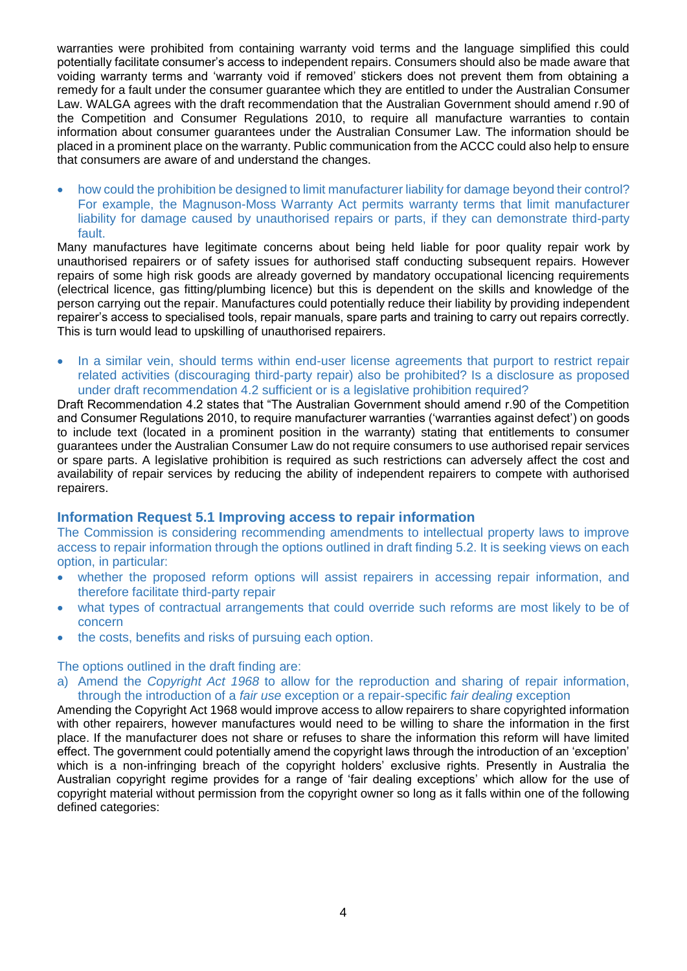warranties were prohibited from containing warranty void terms and the language simplified this could potentially facilitate consumer's access to independent repairs. Consumers should also be made aware that voiding warranty terms and 'warranty void if removed' stickers does not prevent them from obtaining a remedy for a fault under the consumer guarantee which they are entitled to under the Australian Consumer Law. WALGA agrees with the draft recommendation that the Australian Government should amend r.90 of the Competition and Consumer Regulations 2010, to require all manufacture warranties to contain information about consumer guarantees under the Australian Consumer Law. The information should be placed in a prominent place on the warranty. Public communication from the ACCC could also help to ensure that consumers are aware of and understand the changes.

 how could the prohibition be designed to limit manufacturer liability for damage beyond their control? For example, the Magnuson-Moss Warranty Act permits warranty terms that limit manufacturer liability for damage caused by unauthorised repairs or parts, if they can demonstrate third-party fault.

Many manufactures have legitimate concerns about being held liable for poor quality repair work by unauthorised repairers or of safety issues for authorised staff conducting subsequent repairs. However repairs of some high risk goods are already governed by mandatory occupational licencing requirements (electrical licence, gas fitting/plumbing licence) but this is dependent on the skills and knowledge of the person carrying out the repair. Manufactures could potentially reduce their liability by providing independent repairer's access to specialised tools, repair manuals, spare parts and training to carry out repairs correctly. This is turn would lead to upskilling of unauthorised repairers.

• In a similar vein, should terms within end-user license agreements that purport to restrict repair related activities (discouraging third-party repair) also be prohibited? Is a disclosure as proposed under draft recommendation 4.2 sufficient or is a legislative prohibition required?

Draft Recommendation 4.2 states that "The Australian Government should amend r.90 of the Competition and Consumer Regulations 2010, to require manufacturer warranties ('warranties against defect') on goods to include text (located in a prominent position in the warranty) stating that entitlements to consumer guarantees under the Australian Consumer Law do not require consumers to use authorised repair services or spare parts. A legislative prohibition is required as such restrictions can adversely affect the cost and availability of repair services by reducing the ability of independent repairers to compete with authorised repairers.

## **Information Request 5.1 Improving access to repair information**

The Commission is considering recommending amendments to intellectual property laws to improve access to repair information through the options outlined in draft finding 5.2. It is seeking views on each option, in particular:

- whether the proposed reform options will assist repairers in accessing repair information, and therefore facilitate third-party repair
- what types of contractual arrangements that could override such reforms are most likely to be of concern
- the costs, benefits and risks of pursuing each option.

#### The options outlined in the draft finding are:

a) Amend the *Copyright Act 1968* to allow for the reproduction and sharing of repair information, through the introduction of a *fair use* exception or a repair-specific *fair dealing* exception

Amending the Copyright Act 1968 would improve access to allow repairers to share copyrighted information with other repairers, however manufactures would need to be willing to share the information in the first place. If the manufacturer does not share or refuses to share the information this reform will have limited effect. The government could potentially amend the copyright laws through the introduction of an 'exception' which is a non-infringing breach of the copyright holders' exclusive rights. Presently in Australia the Australian copyright regime provides for a range of 'fair dealing exceptions' which allow for the use of copyright material without permission from the copyright owner so long as it falls within one of the following defined categories: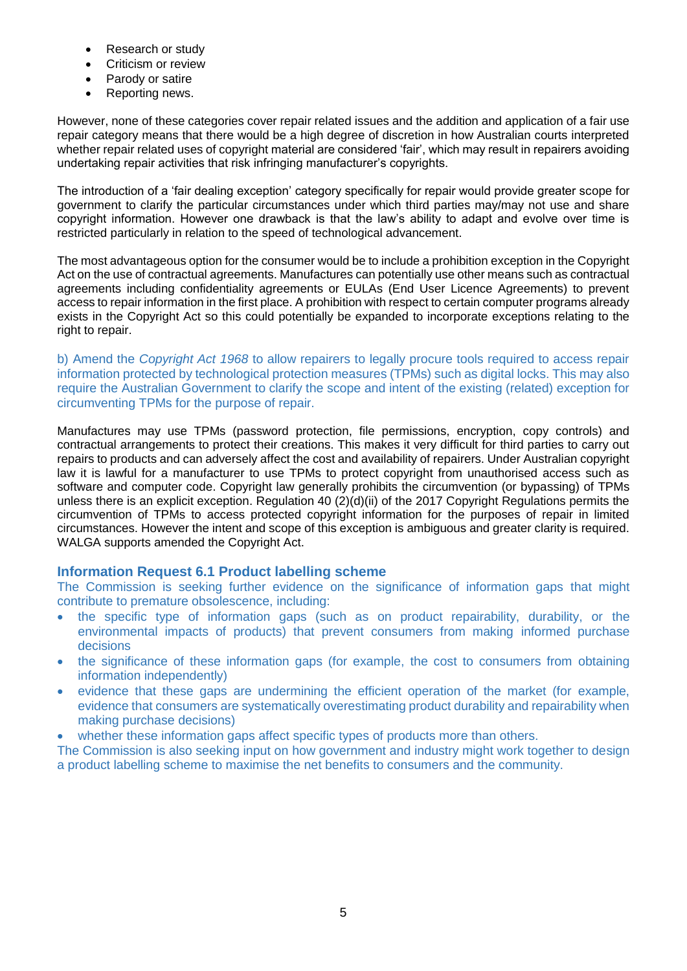- Research or study
- Criticism or review
- Parody or satire
- Reporting news.

However, none of these categories cover repair related issues and the addition and application of a fair use repair category means that there would be a high degree of discretion in how Australian courts interpreted whether repair related uses of copyright material are considered 'fair', which may result in repairers avoiding undertaking repair activities that risk infringing manufacturer's copyrights.

The introduction of a 'fair dealing exception' category specifically for repair would provide greater scope for government to clarify the particular circumstances under which third parties may/may not use and share copyright information. However one drawback is that the law's ability to adapt and evolve over time is restricted particularly in relation to the speed of technological advancement.

The most advantageous option for the consumer would be to include a prohibition exception in the Copyright Act on the use of contractual agreements. Manufactures can potentially use other means such as contractual agreements including confidentiality agreements or EULAs (End User Licence Agreements) to prevent access to repair information in the first place. A prohibition with respect to certain computer programs already exists in the Copyright Act so this could potentially be expanded to incorporate exceptions relating to the right to repair.

b) Amend the *Copyright Act 1968* to allow repairers to legally procure tools required to access repair information protected by technological protection measures (TPMs) such as digital locks. This may also require the Australian Government to clarify the scope and intent of the existing (related) exception for circumventing TPMs for the purpose of repair.

Manufactures may use TPMs (password protection, file permissions, encryption, copy controls) and contractual arrangements to protect their creations. This makes it very difficult for third parties to carry out repairs to products and can adversely affect the cost and availability of repairers. Under Australian copyright law it is lawful for a manufacturer to use TPMs to protect copyright from unauthorised access such as software and computer code. Copyright law generally prohibits the circumvention (or bypassing) of TPMs unless there is an explicit exception. Regulation 40 (2)(d)(ii) of the 2017 Copyright Regulations permits the circumvention of TPMs to access protected copyright information for the purposes of repair in limited circumstances. However the intent and scope of this exception is ambiguous and greater clarity is required. WALGA supports amended the Copyright Act.

## **Information Request 6.1 Product labelling scheme**

The Commission is seeking further evidence on the significance of information gaps that might contribute to premature obsolescence, including:

- the specific type of information gaps (such as on product repairability, durability, or the environmental impacts of products) that prevent consumers from making informed purchase decisions
- the significance of these information gaps (for example, the cost to consumers from obtaining information independently)
- evidence that these gaps are undermining the efficient operation of the market (for example, evidence that consumers are systematically overestimating product durability and repairability when making purchase decisions)
- whether these information gaps affect specific types of products more than others.

The Commission is also seeking input on how government and industry might work together to design a product labelling scheme to maximise the net benefits to consumers and the community.